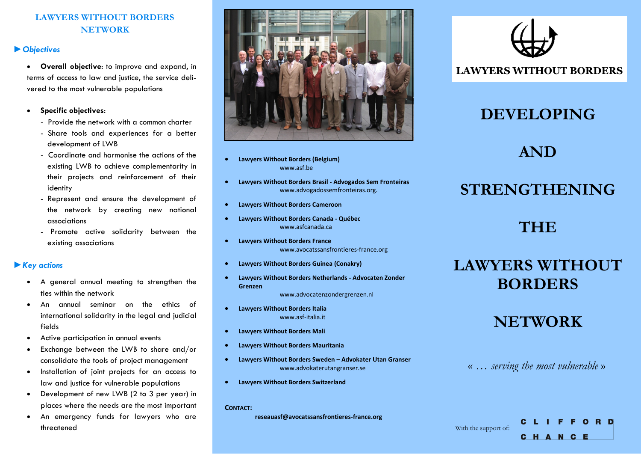### **LAWYERS WITHOUT BORDERS NETWORK**

### *► Objectives*

 **Overall objective**: to improve and expand, in terms of access to law and justice, the service delivered to the most vulnerable populations

### **Specific objectives**:

- Provide the network with a common charter
- Share tools and experiences for a better development of LWB
- Coordinate and harmonise the actions of the existing LWB to achieve complementarity in their projects and reinforcement of their identity
- Represent and ensure the development of the network by creating new national associations
- Promote active solidarity between the existing associations

### *► Key actions*

- A general annual meeting to strengthen the ties within the network
- An annual seminar on the ethics of international solidarity in the legal and judicial fields
- Active participation in annual events
- Exchange between the LWB to share and/or consolidate the tools of project management
- Installation of joint projects for an access to law and justice for vulnerable populations
- Development of new LWB (2 to 3 per year) in places where the needs are the most important
- An emergency funds for lawyers who are threatened



- **Lawyers Without Borders (Belgium)** [www.asf.be](http://www.asf.be)
- **Lawyers Without Borders Brasil - Advogados Sem Fronteiras** www[.advogadossemfronteiras.org.](http://advogadossemfronteiras.org)
- **Lawyers Without Borders Cameroon**
- **Lawyers Without Borders Canada - Québec** [www.asfcanada.ca](http://www.asfcanada.ca)
- **Lawyers Without Borders France** [www.avocatssansfrontieres-france.org](http://www.avocatssansfrontieres-france.org)
- **Lawyers Without Borders Guinea (Conakry)**
- **Lawyers Without Borders Netherlands - Advocaten Zonder Grenzen** www.advocatenzondergrenzen.nl
- **Lawyers Without Borders Italia** www.asf-italia.it
- **Lawyers Without Borders Mali**
- **Lawyers Without Borders Mauritania**
- **Lawyers Without Borders Sweden – Advokater Utan Granser** www.advokaterutangranser.se
- **Lawyers Without Borders Switzerland**

#### **CONTACT:**

**reseauasf@avocatssansfrontieres-france.org**



### **LAWYERS WITHOUT BORDERS**

### **DEVELOPING**

**AND** 

### **STRENGTHENING**

### **THE**

### **LAWYERS WITHOUT BORDERS**

### **NETWORK**

### « *… serving the most vulnerable* »

 $L - L$ 

With the support of: